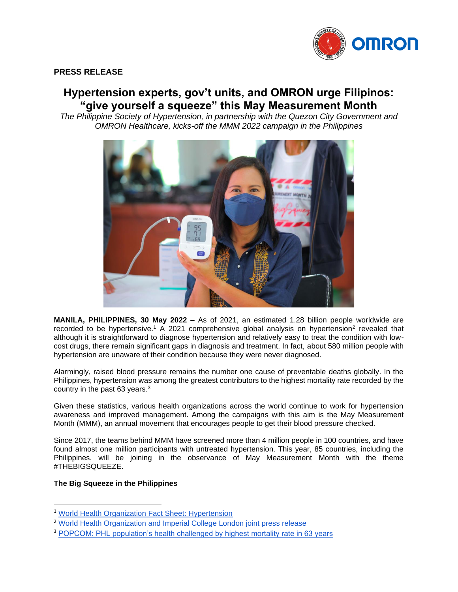

# **PRESS RELEASE**

# **Hypertension experts, gov't units, and OMRON urge Filipinos: "give yourself a squeeze" this May Measurement Month**

*The Philippine Society of Hypertension, in partnership with the Quezon City Government and OMRON Healthcare, kicks-off the MMM 2022 campaign in the Philippines*



**MANILA, PHILIPPINES, 30 May 2022 –** As of 2021, an estimated 1.28 billion people worldwide are recorded to be hypertensive.<sup>1</sup> A 2021 comprehensive global analysis on hypertension<sup>2</sup> revealed that although it is straightforward to diagnose hypertension and relatively easy to treat the condition with lowcost drugs, there remain significant gaps in diagnosis and treatment. In fact, about 580 million people with hypertension are unaware of their condition because they were never diagnosed.

Alarmingly, raised blood pressure remains the number one cause of preventable deaths globally. In the Philippines, hypertension was among the greatest contributors to the highest mortality rate recorded by the country in the past 63 years.<sup>3</sup>

Given these statistics, various health organizations across the world continue to work for hypertension awareness and improved management. Among the campaigns with this aim is the May Measurement Month (MMM), an annual movement that encourages people to get their blood pressure checked.

Since 2017, the teams behind MMM have screened more than 4 million people in 100 countries, and have found almost one million participants with untreated hypertension. This year, 85 countries, including the Philippines, will be joining in the observance of May Measurement Month with the theme #THEBIGSQUEEZE.

## **The Big Squeeze in the Philippines**

<sup>1</sup> [World Health Organization Fact Sheet: Hypertension](https://www.who.int/news-room/fact-sheets/detail/hypertension)

<sup>&</sup>lt;sup>2</sup> [World Health Organization and Imperial College London joint press release](https://www.who.int/news/item/25-08-2021-more-than-700-million-people-with-untreated-hypertension)

<sup>3</sup> [POPCOM: PHL population's health challenged by highest mortality rate in 63 years](https://popcom.gov.ph/popcom-phl-populations-health-challenged-by-highest-mortality-rate-in-63-years-covid-19-heart-attacks-strokes-hypertension-diabetes-mellitus-are-greatest-contributors-to-elevated-number/)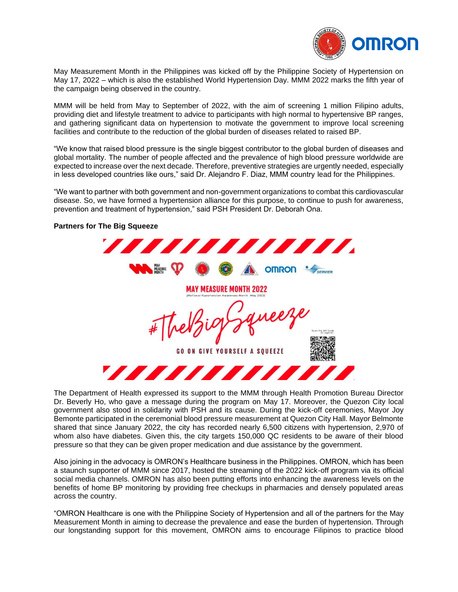

May Measurement Month in the Philippines was kicked off by the Philippine Society of Hypertension on May 17, 2022 – which is also the established World Hypertension Day. MMM 2022 marks the fifth year of the campaign being observed in the country.

MMM will be held from May to September of 2022, with the aim of screening 1 million Filipino adults, providing diet and lifestyle treatment to advice to participants with high normal to hypertensive BP ranges, and gathering significant data on hypertension to motivate the government to improve local screening facilities and contribute to the reduction of the global burden of diseases related to raised BP.

"We know that raised blood pressure is the single biggest contributor to the global burden of diseases and global mortality. The number of people affected and the prevalence of high blood pressure worldwide are expected to increase over the next decade. Therefore, preventive strategies are urgently needed, especially in less developed countries like ours," said Dr. Alejandro F. Diaz, MMM country lead for the Philippines.

"We want to partner with both government and non-government organizations to combat this cardiovascular disease. So, we have formed a hypertension alliance for this purpose, to continue to push for awareness, prevention and treatment of hypertension," said PSH President Dr. Deborah Ona.

## **Partners for The Big Squeeze**

,,,,,,,,,,,,,,,,, **6 A OMRON** *<b>SERVIER* MEASURE **MAY MEASURE MONTH 2022** weez **GO ON GIVE YOURSELF A SOUEEZE** ,,,,,,,,

The Department of Health expressed its support to the MMM through Health Promotion Bureau Director Dr. Beverly Ho, who gave a message during the program on May 17. Moreover, the Quezon City local government also stood in solidarity with PSH and its cause. During the kick-off ceremonies, Mayor Joy Bemonte participated in the ceremonial blood pressure measurement at Quezon City Hall. Mayor Belmonte shared that since January 2022, the city has recorded nearly 6,500 citizens with hypertension, 2,970 of whom also have diabetes. Given this, the city targets 150,000 QC residents to be aware of their blood pressure so that they can be given proper medication and due assistance by the government.

Also joining in the advocacy is OMRON's Healthcare business in the Philippines. OMRON, which has been a staunch supporter of MMM since 2017, hosted the streaming of the 2022 kick-off program via its official social media channels. OMRON has also been putting efforts into enhancing the awareness levels on the benefits of home BP monitoring by providing free checkups in pharmacies and densely populated areas across the country.

"OMRON Healthcare is one with the Philippine Society of Hypertension and all of the partners for the May Measurement Month in aiming to decrease the prevalence and ease the burden of hypertension. Through our longstanding support for this movement, OMRON aims to encourage Filipinos to practice blood